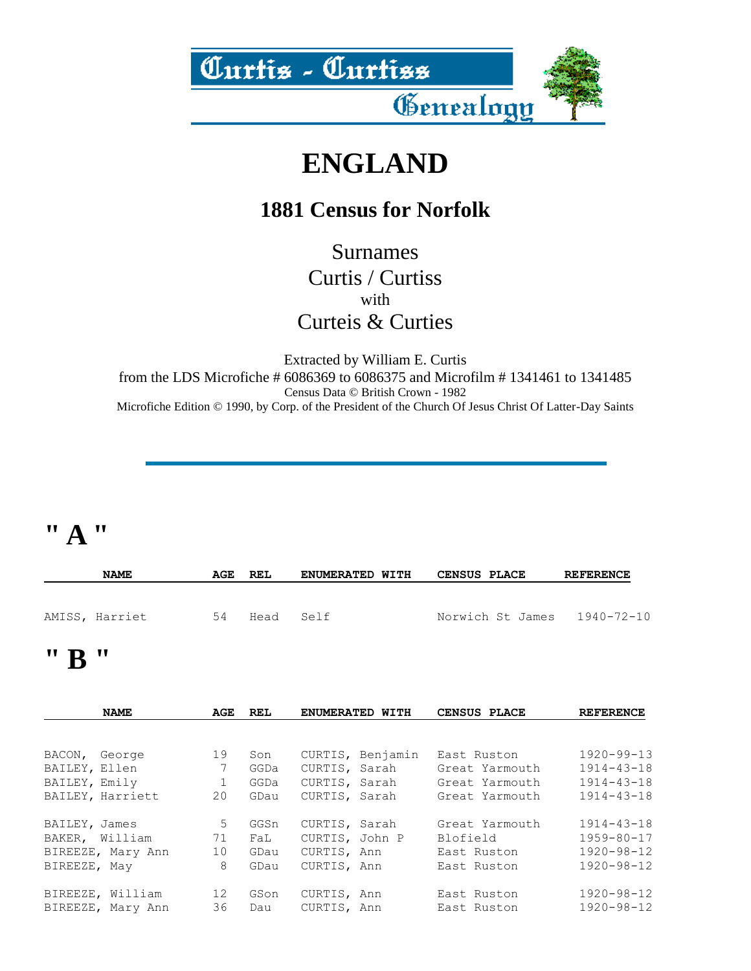

# **ENGLAND**

#### **1881 Census for Norfolk**

Surnames Curtis / Curtiss with Curteis & Curties

Extracted by William E. Curtis from the LDS Microfiche # 6086369 to 6086375 and Microfilm # 1341461 to 1341485 Census Data © British Crown - 1982 Microfiche Edition © 1990, by Corp. of the President of the Church Of Jesus Christ Of Latter-Day Saints

#### **" A "**

|                   | <b>NAME</b>    | AGE | REL       | <b>ENUMERATED WITH</b> | <b>CENSUS PLACE</b> | <b>REFERENCE</b>            |
|-------------------|----------------|-----|-----------|------------------------|---------------------|-----------------------------|
|                   | AMISS, Harriet | 54  | Head Self |                        |                     | Norwich St James 1940-72-10 |
| $\cdots$ $\cdots$ |                |     |           |                        |                     |                             |

#### **B**

|               | <b>NAME</b>       | AGE | <b>REL</b> |                | ENUMERATED WITH  | CENSUS PLACE   | <b>REFERENCE</b> |
|---------------|-------------------|-----|------------|----------------|------------------|----------------|------------------|
|               |                   |     |            |                |                  |                |                  |
| BACON, George |                   | 19  | Son        |                | CURTIS, Benjamin | East Ruston    | $1920 - 99 - 13$ |
| BAILEY, Ellen |                   | 7   | GGDa       | CURTIS, Sarah  |                  | Great Yarmouth | $1914 - 43 - 18$ |
| BAILEY, Emily |                   |     | GGDa       | CURTIS, Sarah  |                  | Great Yarmouth | $1914 - 43 - 18$ |
|               | BAILEY, Harriett  | 20  | GDau       | CURTIS, Sarah  |                  | Great Yarmouth | $1914 - 43 - 18$ |
| BAILEY, James |                   | 5   | GGSn       | CURTIS, Sarah  |                  | Great Yarmouth | $1914 - 43 - 18$ |
|               | BAKER, William    | 71  | FaL        | CURTIS, John P |                  | Blofield       | $1959 - 80 - 17$ |
|               | BIREEZE, Mary Ann | 10  | GDau       | CURTIS, Ann    |                  | East Ruston    | $1920 - 98 - 12$ |
| BIREEZE, May  |                   | 8   | GDau       | CURTIS, Ann    |                  | East Ruston    | $1920 - 98 - 12$ |
|               | BIREEZE, William  | 12  | GSon       | CURTIS, Ann    |                  | East Ruston    | $1920 - 98 - 12$ |
|               | BIREEZE, Mary Ann | 36  | Dau        | CURTIS, Ann    |                  | East Ruston    | $1920 - 98 - 12$ |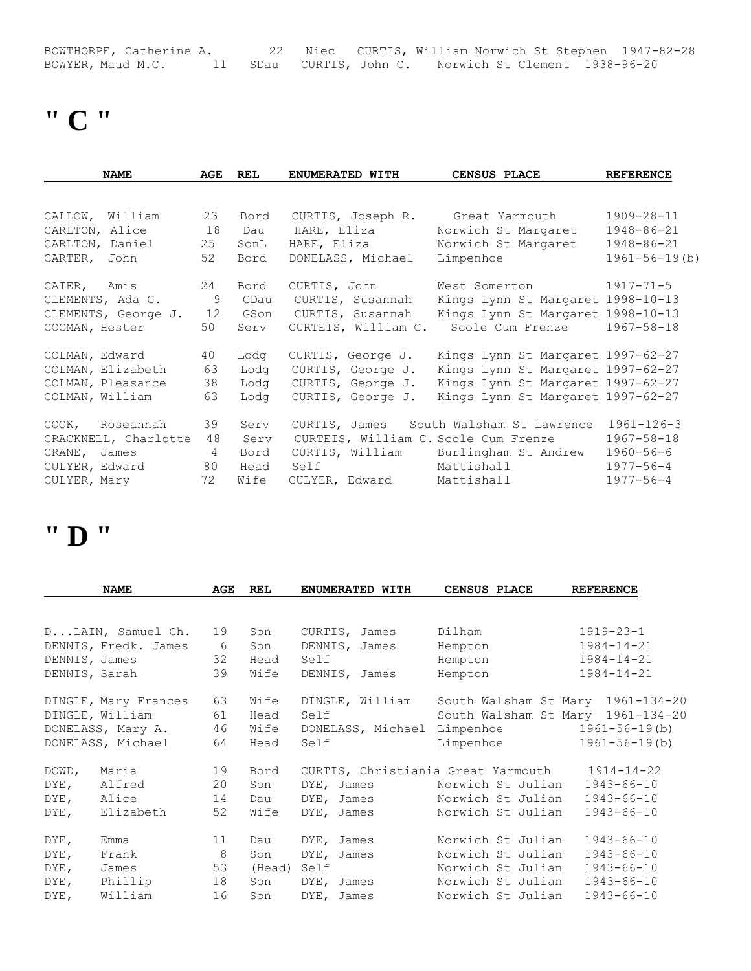BOWTHORPE, Catherine A. 22 Niec CURTIS, William Norwich St Stephen 1947-82-28 BOWYER, Maud M.C. 11 SDau CURTIS, John C. Norwich St Clement 1938-96-20

# **" C "**

| <b>NAME</b>          | AGE            | <b>REL</b> | ENUMERATED WITH                      | CENSUS PLACE                         | <b>REFERENCE</b>    |
|----------------------|----------------|------------|--------------------------------------|--------------------------------------|---------------------|
|                      |                |            |                                      |                                      |                     |
| CALLOW, William      | 23             | Bord       | CURTIS, Joseph R.                    | Great Yarmouth                       | 1909-28-11          |
| CARLTON, Alice       | 18             | Dau        | HARE, Eliza                          | Norwich St Margaret                  | $1948 - 86 - 21$    |
| CARLTON, Daniel      | 25             | SonL       | HARE, Eliza                          | Norwich St Margaret                  | 1948-86-21          |
| CARTER, John         | 52             | Bord       | DONELASS, Michael                    | Limpenhoe                            | $1961 - 56 - 19(b)$ |
| CATER, Amis          | 24             | Bord       | CURTIS, John                         | West Somerton                        | $1917 - 71 - 5$     |
| CLEMENTS, Ada G.     | 9              | GDau       | CURTIS, Susannah                     | Kings Lynn St Margaret 1998-10-13    |                     |
| CLEMENTS, George J.  | 12             | GSon       | CURTIS, Susannah                     | Kings Lynn St Margaret 1998-10-13    |                     |
| COGMAN, Hester       | 50             | Serv       | CURTEIS, William C.                  | Scole Cum Frenze                     | $1967 - 58 - 18$    |
| COLMAN, Edward       | 40             | Lodg       | CURTIS, George J.                    | Kings Lynn St Margaret 1997-62-27    |                     |
| COLMAN, Elizabeth    | 63             | Lodg       | CURTIS, George J.                    | Kings Lynn St Margaret 1997-62-27    |                     |
| COLMAN, Pleasance    | 38             | Lodg       | CURTIS, George J.                    | Kings Lynn St Margaret 1997-62-27    |                     |
| COLMAN, William      | 63             | Lodg       | CURTIS, George J.                    | Kings Lynn St Margaret 1997-62-27    |                     |
| COOK, Roseannah      | 39             | Serv       | CURTIS, James                        | South Walsham St Lawrence            | $1961 - 126 - 3$    |
| CRACKNELL, Charlotte | 48             | Serv       | CURTEIS, William C. Scole Cum Frenze |                                      | $1967 - 58 - 18$    |
| CRANE, James         | $\overline{4}$ | Bord       |                                      | CURTIS, William Burlingham St Andrew | $1960 - 56 - 6$     |
| CULYER, Edward       | 80             | Head       | Mattishall<br>Self                   |                                      | $1977 - 56 - 4$     |
| CULYER, Mary         | 72             | Wife       |                                      | CULYER, Edward Mattishall            | $1977 - 56 - 4$     |
|                      |                |            |                                      |                                      |                     |

#### **" D "**

| <b>NAME</b>          |           | AGE | <b>REL</b> | ENUMERATED WITH   | CENSUS PLACE                                  | <b>REFERENCE</b>                  |
|----------------------|-----------|-----|------------|-------------------|-----------------------------------------------|-----------------------------------|
|                      |           |     |            |                   |                                               |                                   |
| DLAIN, Samuel Ch.    |           | 19  | Son        | CURTIS, James     | Dilham                                        | $1919 - 23 - 1$                   |
| DENNIS, Fredk. James |           | 6   | Son        | DENNIS, James     | Hempton                                       | $1984 - 14 - 21$                  |
| DENNIS, James        |           | 32  | Head       | Self              | Hempton                                       | $1984 - 14 - 21$                  |
| DENNIS, Sarah        |           | 39  | Wife       | DENNIS, James     | Hempton                                       | $1984 - 14 - 21$                  |
| DINGLE, Mary Frances |           | 63  | Wife       | DINGLE, William   |                                               | South Walsham St Mary 1961-134-20 |
| DINGLE, William      |           | 61  | Head       | Self              |                                               | South Walsham St Mary 1961-134-20 |
| DONELASS, Mary A.    |           | 46  | Wife       | DONELASS, Michael | Limpenhoe                                     | $1961 - 56 - 19(b)$               |
| DONELASS, Michael    |           | 64  | Head       | Self              | Limpenhoe                                     | 1961-56-19(b)                     |
| Maria<br>DOWD,       |           | 19  | Bord       |                   | CURTIS, Christiania Great Yarmouth 1914-14-22 |                                   |
| DYE,                 | Alfred    | 20  | Son        | DYE, James        | Norwich St Julian                             | $1943 - 66 - 10$                  |
| Alice<br>DYE,        |           | 14  | Dau        | DYE, James        | Norwich St Julian                             | $1943 - 66 - 10$                  |
| DYE,                 | Elizabeth | 52  | Wife       | DYE, James        | Norwich St Julian                             | $1943 - 66 - 10$                  |
| DYE,<br>Emma         |           | 11  | Dau        | DYE, James        | Norwich St Julian                             | $1943 - 66 - 10$                  |
| DYE,<br>Frank        |           | 8   | Son        | DYE, James        | Norwich St Julian                             | $1943 - 66 - 10$                  |
| DYE,<br>James        |           | 53  | (Head)     | Self              | Norwich St Julian                             | $1943 - 66 - 10$                  |
| DYE,                 | Phillip   | 18  | Son        | DYE, James        | Norwich St Julian                             | $1943 - 66 - 10$                  |
| DYE,                 | William   | 16  | Son        | DYE, James        | Norwich St Julian                             | $1943 - 66 - 10$                  |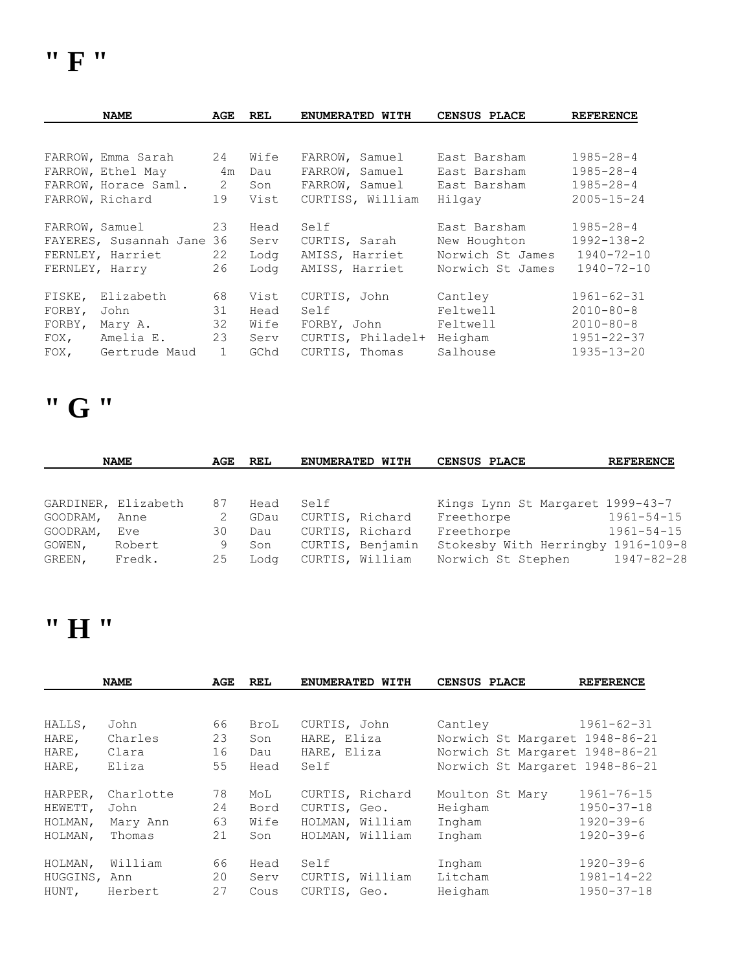| <b>NAME</b>               | AGE            | <b>REL</b> | ENUMERATED WITH   | <b>CENSUS PLACE</b> | <b>REFERENCE</b> |
|---------------------------|----------------|------------|-------------------|---------------------|------------------|
|                           |                |            |                   |                     |                  |
| FARROW, Emma Sarah        | 24             | Wife       | FARROW, Samuel    | East Barsham        | $1985 - 28 - 4$  |
| FARROW, Ethel May         | 4m             | Dau        | FARROW, Samuel    | East Barsham        | $1985 - 28 - 4$  |
| FARROW, Horace Saml.      | $\overline{c}$ | Son        | FARROW, Samuel    | East Barsham        | $1985 - 28 - 4$  |
| FARROW, Richard           | 19             | Vist       | CURTISS, William  | Hilgay              | $2005 - 15 - 24$ |
| FARROW, Samuel            | 23             | Head       | Self              | East Barsham        | $1985 - 28 - 4$  |
| FAYERES, Susannah Jane 36 |                | Serv       | CURTIS, Sarah     | New Houghton        | $1992 - 138 - 2$ |
| FERNLEY, Harriet          | 22             | Lodg       | AMISS, Harriet    | Norwich St James    | $1940 - 72 - 10$ |
| FERNLEY, Harry            | 26             | Loda       | AMISS, Harriet    | Norwich St James    | $1940 - 72 - 10$ |
| Elizabeth<br>FISKE,       | 68             | Vist       | CURTIS, John      | Cantley             | $1961 - 62 - 31$ |
| FORBY,<br>John            | 31             | Head       | Self              | Feltwell            | $2010 - 80 - 8$  |
| FORBY,<br>Mary A.         | 32             | Wife       | FORBY, John       | Feltwell            | $2010 - 80 - 8$  |
| Amelia E.<br>FOX,         | 23             | Serv       | CURTIS, Philadel+ | Heigham             | $1951 - 22 - 37$ |
| Gertrude Maud<br>FOX,     | $\mathbf{1}$   | GChd       | CURTIS, Thomas    | Salhouse            | $1935 - 13 - 20$ |

# **" G "**

|                  | <b>NAME</b>         | AGE     | REL         | <b>ENUMERATED WITH</b>              | CENSUS PLACE                                             | <b>REFERENCE</b> |
|------------------|---------------------|---------|-------------|-------------------------------------|----------------------------------------------------------|------------------|
|                  |                     |         |             |                                     |                                                          |                  |
|                  | GARDINER, Elizabeth | 87      | Head        | Self                                | Kings Lynn St Margaret 1999-43-7                         |                  |
| GOODRAM,         | Anne                | 2       | GDau        | CURTIS, Richard                     | Freethorpe                                               | $1961 - 54 - 15$ |
| GOODRAM,         | Eve                 | 30      | Dau         | CURTIS, Richard                     | Freethorpe                                               | $1961 - 54 - 15$ |
| GOWEN,<br>GREEN, | Robert<br>Fredk.    | 9<br>25 | Son<br>Lodg | CURTIS, Benjamin<br>CURTIS, William | Stokesby With Herringby 1916-109-8<br>Norwich St Stephen | $1947 - 82 - 28$ |

### **" H "**

|              | <b>NAME</b> | AGE | <b>REL</b> | ENUMERATED WITH | CENSUS PLACE                   | <b>REFERENCE</b> |
|--------------|-------------|-----|------------|-----------------|--------------------------------|------------------|
|              |             |     |            |                 |                                |                  |
| HALLS,       | John        | 66  | BroL       | CURTIS, John    | Cantley                        | $1961 - 62 - 31$ |
| HARE,        | Charles     | 23  | Son        | HARE, Eliza     | Norwich St Margaret 1948-86-21 |                  |
| HARE,        | Clara       | 16  | Dau        | HARE, Eliza     | Norwich St Margaret 1948-86-21 |                  |
| HARE,        | Eliza       | 55  | Head       | Self            | Norwich St Margaret 1948-86-21 |                  |
| HARPER,      | Charlotte   | 78  | MoL        | CURTIS, Richard | Moulton St Mary                | $1961 - 76 - 15$ |
| HEWETT,      | John        | 24  | Bord       | CURTIS, Geo.    | Heigham                        | $1950 - 37 - 18$ |
| HOLMAN,      | Mary Ann    | 63  | Wife       | HOLMAN, William | Ingham                         | $1920 - 39 - 6$  |
| HOLMAN,      | Thomas      | 21  | Son        | HOLMAN, William | Ingham                         | $1920 - 39 - 6$  |
| HOLMAN,      | William     | 66  | Head       | Self            | Ingham                         | $1920 - 39 - 6$  |
| HUGGINS, Ann |             | 20  | Serv       | CURTIS, William | Litcham                        | $1981 - 14 - 22$ |
| HUNT,        | Herbert     | 27  | Cous       | CURTIS, Geo.    | Heigham                        | $1950 - 37 - 18$ |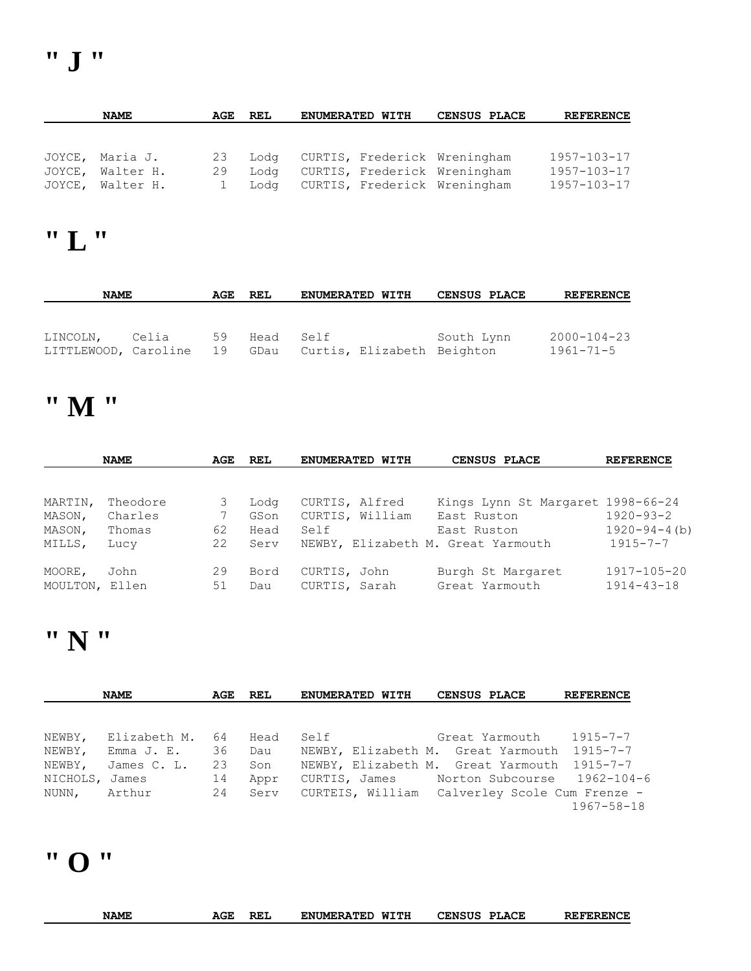| <b>NAME</b>      | AGE | REL  | ENUMERATED WITH                   | CENSUS PLACE | <b>REFERENCE</b>  |
|------------------|-----|------|-----------------------------------|--------------|-------------------|
|                  |     |      |                                   |              |                   |
|                  |     |      |                                   |              |                   |
| JOYCE, Maria J.  | 23  |      | Lodg CURTIS, Frederick Wreningham |              | 1957-103-17       |
| JOYCE, Walter H. | 29  | Loda | CURTIS, Frederick Wreningham      |              | $1957 - 103 - 17$ |
| JOYCE, Walter H. |     |      | Lodg CURTIS, Frederick Wreningham |              | 1957-103-17       |

# **" L "**

| <b>NAME</b>          | AGE REL |    | <b>ENUMERATED WITH</b> |  | <b>CENSUS PLACE</b>             | <b>REFERENCE</b> |                   |
|----------------------|---------|----|------------------------|--|---------------------------------|------------------|-------------------|
|                      |         |    |                        |  |                                 |                  |                   |
|                      |         |    |                        |  |                                 |                  |                   |
| LINCOLN,             | Celia   | 59 | Head Self              |  |                                 | South Lynn       | $2000 - 104 - 23$ |
| LITTLEWOOD, Caroline |         | 19 |                        |  | GDau Curtis, Elizabeth Beighton |                  | 1961-71-5         |

# **" M "**

|                | <b>NAME</b> | AGE | REL  | ENUMERATED WITH | CENSUS PLACE                       | <b>REFERENCE</b>    |
|----------------|-------------|-----|------|-----------------|------------------------------------|---------------------|
|                |             |     |      |                 |                                    |                     |
| MARTIN,        | Theodore    | 3   | Lodg | CURTIS, Alfred  | Kings Lynn St Margaret 1998-66-24  |                     |
| MASON,         | Charles     |     | GSon | CURTIS, William | East Ruston                        | $1920 - 93 - 2$     |
| MASON,         | Thomas      | 62  | Head | Self            | East Ruston                        | $1920 - 94 - 4$ (b) |
| MILLS,         | Lucy        | 22  | Serv |                 | NEWBY, Elizabeth M. Great Yarmouth | $1915 - 7 - 7$      |
| MOORE,         | John        | 29  | Bord | CURTIS, John    | Burgh St Margaret                  | $1917 - 105 - 20$   |
| MOULTON, Ellen |             | 51  | Dau  | CURTIS, Sarah   | Great Yarmouth                     | $1914 - 43 - 18$    |
|                |             |     |      |                 |                                    |                     |

# **" N "**

|                | <b>NAME</b>  | AGE | REL  | ENUMERATED WITH | <b>CENSUS PLACE</b>                           | <b>REFERENCE</b> |
|----------------|--------------|-----|------|-----------------|-----------------------------------------------|------------------|
|                |              |     |      |                 |                                               |                  |
| NEWBY,         | Elizabeth M. | 64  | Head | Self            | Great Yarmouth                                | 1915-7-7         |
| NEWBY,         | Emma J. E.   | 36  | Dau  |                 | NEWBY, Elizabeth M. Great Yarmouth 1915-7-7   |                  |
| NEWBY,         | James C. L.  | 23  | Son  |                 | NEWBY, Elizabeth M. Great Yarmouth 1915-7-7   |                  |
| NICHOLS, James |              | 14  | Appr |                 | CURTIS, James Morton Subcourse 1962-104-6     |                  |
| NUNN, Arthur   |              | 24  | Serv |                 | CURTEIS, William Calverley Scole Cum Frenze - |                  |
|                |              |     |      |                 |                                               | 1967-58-18       |

# **" O "**

| <b>NAME</b> | REL<br>AGE | WITH<br><b>ENUMERATED</b> | CENSUS<br><b>PLACE</b> | <b>REFERENCE</b> |
|-------------|------------|---------------------------|------------------------|------------------|
|             |            |                           |                        |                  |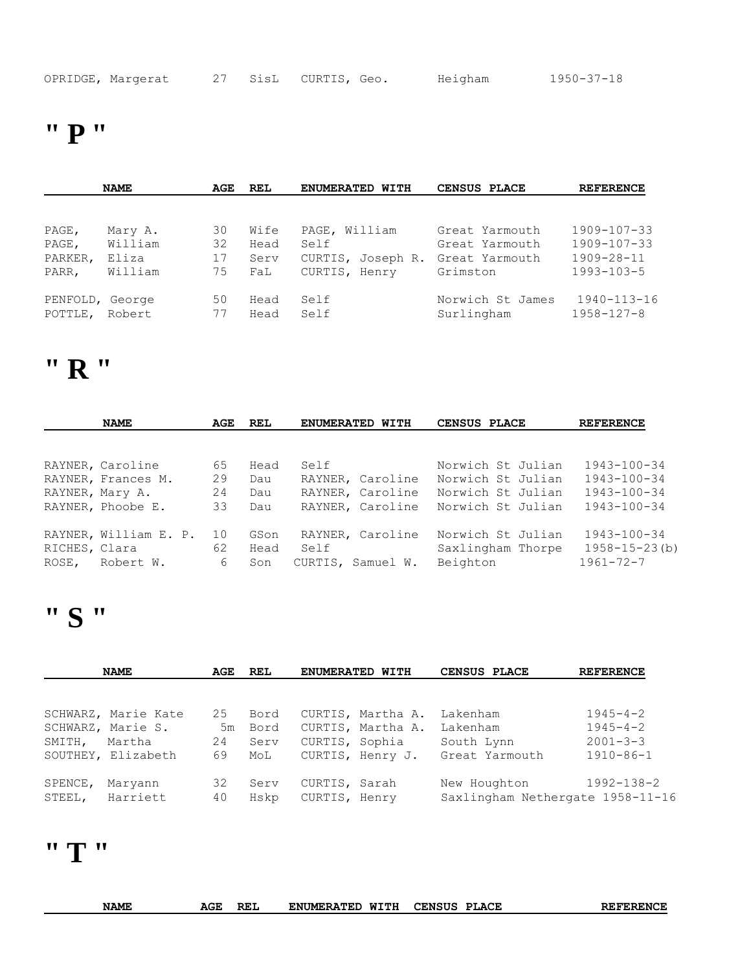|  | OPRIDGE, Margerat |  |  | 27 SisL CURTIS, Geo. |  | Heigham | 1950-37-18 |
|--|-------------------|--|--|----------------------|--|---------|------------|
|--|-------------------|--|--|----------------------|--|---------|------------|

### **" P "**

| <b>NAME</b>     |         | AGE | <b>REL</b> | ENUMERATED WITH   | CENSUS PLACE     | <b>REFERENCE</b>  |
|-----------------|---------|-----|------------|-------------------|------------------|-------------------|
|                 |         |     |            |                   |                  |                   |
| PAGE,           | Mary A. | 30  | Wife       | PAGE, William     | Great Yarmouth   | $1909 - 107 - 33$ |
| PAGE,           | William | 32  | Head       | Self              | Great Yarmouth   | $1909 - 107 - 33$ |
| PARKER,         | Eliza   | 17  | Serv       | CURTIS, Joseph R. | Great Yarmouth   | $1909 - 28 - 11$  |
| PARR,           | William | 75  | FaL        | CURTIS, Henry     | Grimston         | $1993 - 103 - 5$  |
| PENFOLD, George |         | 50  | Head       | Self              | Norwich St James | 1940-113-16       |
| POTTLE, Robert  |         | 77  | Head       | Self              | Surlingham       | 1958-127-8        |

### **" R "**

|               | <b>NAME</b>           | AGE | REL  | <b>ENUMERATED</b><br>WITH | CENSUS PLACE      | <b>REFERENCE</b>    |  |
|---------------|-----------------------|-----|------|---------------------------|-------------------|---------------------|--|
|               |                       |     |      |                           |                   |                     |  |
|               | RAYNER, Caroline      | 65  | Head | Self                      | Norwich St Julian | $1943 - 100 - 34$   |  |
|               | RAYNER, Frances M.    | 29  | Dau  | RAYNER, Caroline          | Norwich St Julian | $1943 - 100 - 34$   |  |
|               | RAYNER, Mary A.       | 24  | Dau  | RAYNER, Caroline          | Norwich St Julian | $1943 - 100 - 34$   |  |
|               | RAYNER, Phoobe E.     | 33  | Dau  | RAYNER, Caroline          | Norwich St Julian | $1943 - 100 - 34$   |  |
|               |                       |     |      |                           |                   |                     |  |
|               | RAYNER, William E. P. | 10  | GSon | RAYNER, Caroline          | Norwich St Julian | $1943 - 100 - 34$   |  |
| RICHES, Clara |                       | 62  | Head | Self                      | Saxlingham Thorpe | $1958 - 15 - 23(b)$ |  |
| ROSE,         | Robert W.             | 6   | Son  | CURTIS, Samuel W.         | Beighton          | $1961 - 72 - 7$     |  |

# **" S "**

| <b>NAME</b>       |                     | AGE      | REL          | ENUMERATED WITH                |                   | CENSUS PLACE                                     | <b>REFERENCE</b> |
|-------------------|---------------------|----------|--------------|--------------------------------|-------------------|--------------------------------------------------|------------------|
|                   |                     |          |              |                                |                   |                                                  |                  |
|                   | SCHWARZ, Marie Kate | 25       | Bord         |                                | CURTIS, Martha A. | Lakenham                                         | $1945 - 4 - 2$   |
|                   | SCHWARZ, Marie S.   | 5m       | Bord         |                                | CURTIS, Martha A. | Lakenham                                         | $1945 - 4 - 2$   |
| SMITH,            | Martha              | 24       | Serv         |                                | CURTIS, Sophia    | South Lynn                                       | $2001 - 3 - 3$   |
|                   | SOUTHEY, Elizabeth  | 69       | MoL          |                                | CURTIS, Henry J.  | Great Yarmouth                                   | $1910 - 86 - 1$  |
| SPENCE,<br>STEEL, | Maryann<br>Harriett | 32<br>40 | Serv<br>Hskp | CURTIS, Sarah<br>CURTIS, Henry |                   | New Houghton<br>Saxlingham Nethergate 1958-11-16 | $1992 - 138 - 2$ |

# **" T "**

| <b>NAME</b> | <b>A CIT</b><br>AGE | <b>REL</b> | ᇄᅮᅲᆸ<br><b>ENUMERATED</b><br>MTTH | <b>CENSUS</b><br><b>PLACE</b> | <b>REFERENCE</b> |
|-------------|---------------------|------------|-----------------------------------|-------------------------------|------------------|
|-------------|---------------------|------------|-----------------------------------|-------------------------------|------------------|